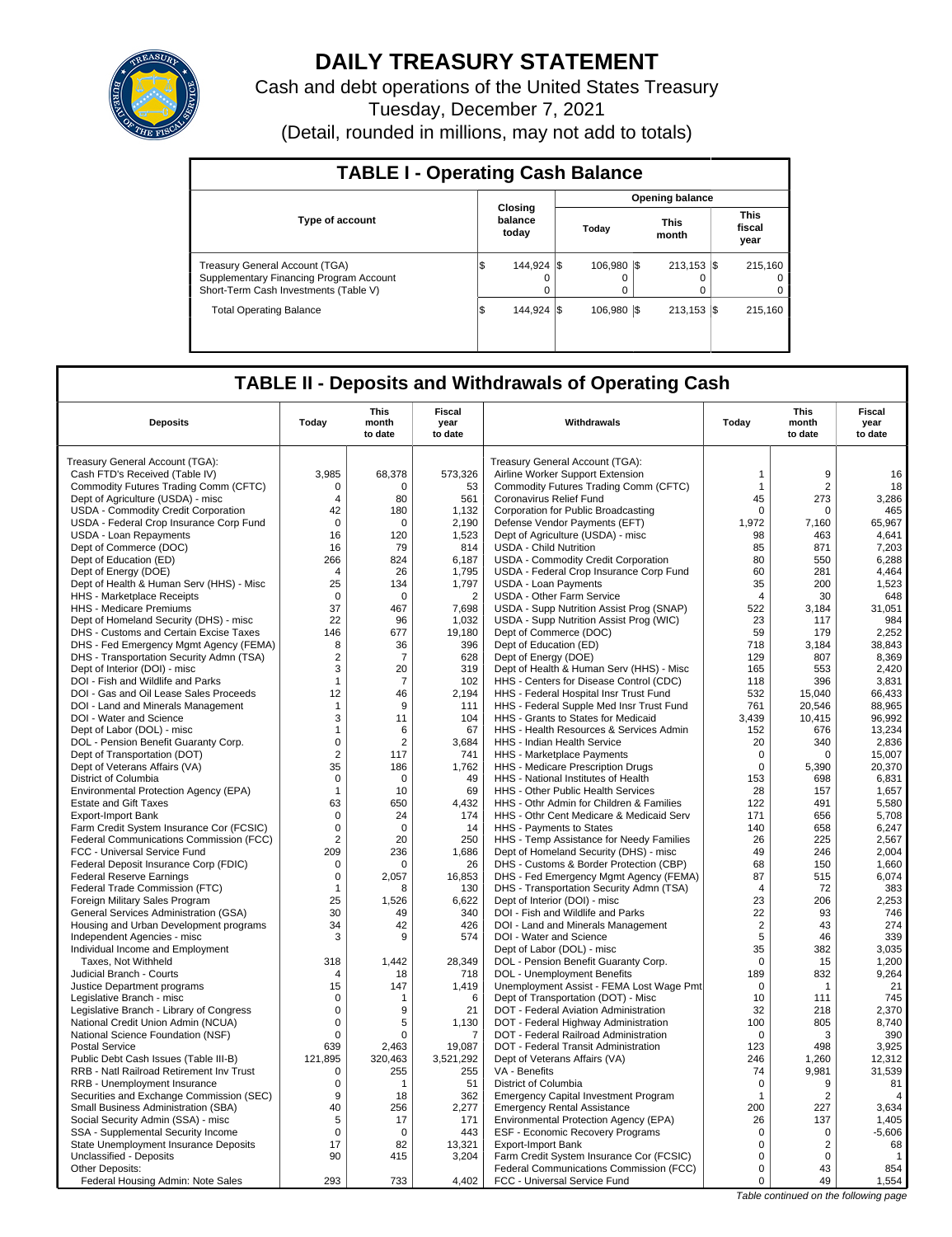

# **DAILY TREASURY STATEMENT**

Cash and debt operations of the United States Treasury Tuesday, December 7, 2021 (Detail, rounded in millions, may not add to totals)

| <b>TABLE I - Operating Cash Balance</b>                                                                                   |                             |                         |  |                        |  |                      |  |                               |  |  |
|---------------------------------------------------------------------------------------------------------------------------|-----------------------------|-------------------------|--|------------------------|--|----------------------|--|-------------------------------|--|--|
|                                                                                                                           |                             |                         |  | <b>Opening balance</b> |  |                      |  |                               |  |  |
| <b>Type of account</b>                                                                                                    | Closing<br>balance<br>today |                         |  | Today                  |  | <b>This</b><br>month |  | <b>This</b><br>fiscal<br>year |  |  |
| <b>Treasury General Account (TGA)</b><br>Supplementary Financing Program Account<br>Short-Term Cash Investments (Table V) | Φ                           | 144.924 \\$<br>$\Omega$ |  | 106.980 \\$<br>0       |  | $213.153$ $\sqrt{5}$ |  | 215.160<br>0<br>$\Omega$      |  |  |
| <b>Total Operating Balance</b>                                                                                            | 1\$                         | 144.924 \\              |  | 106.980 \\$            |  | $213.153$ S          |  | 215.160                       |  |  |

## **TABLE II - Deposits and Withdrawals of Operating Cash**

| <b>Deposits</b>                                                                | Todav            | This<br>month<br>to date | Fiscal<br>year<br>to date | Withdrawals                                                                    | Todav                        | This<br>month<br>to date | Fiscal<br>year<br>to date |
|--------------------------------------------------------------------------------|------------------|--------------------------|---------------------------|--------------------------------------------------------------------------------|------------------------------|--------------------------|---------------------------|
|                                                                                |                  |                          |                           |                                                                                |                              |                          |                           |
| Treasury General Account (TGA):                                                | 3.985            |                          |                           | Treasury General Account (TGA):                                                |                              | 9                        | 16                        |
| Cash FTD's Received (Table IV)                                                 |                  | 68,378                   | 573,326                   | Airline Worker Support Extension                                               | $\mathbf{1}$<br>$\mathbf{1}$ | $\overline{2}$           |                           |
| Commodity Futures Trading Comm (CFTC)                                          | 0                | 0<br>80                  | 53<br>561                 | Commodity Futures Trading Comm (CFTC)                                          |                              |                          | 18                        |
| Dept of Agriculture (USDA) - misc<br>USDA - Commodity Credit Corporation       | $\sqrt{4}$<br>42 | 180                      | 1,132                     | Coronavirus Relief Fund<br>Corporation for Public Broadcasting                 | 45<br>0                      | 273<br>0                 | 3,286<br>465              |
| USDA - Federal Crop Insurance Corp Fund                                        | $\Omega$         | $\Omega$                 | 2,190                     | Defense Vendor Payments (EFT)                                                  | 1.972                        | 7,160                    | 65,967                    |
| <b>USDA - Loan Repayments</b>                                                  | 16               | 120                      | 1.523                     | Dept of Agriculture (USDA) - misc                                              | 98                           | 463                      | 4.641                     |
| Dept of Commerce (DOC)                                                         | 16               | 79                       | 814                       | <b>USDA - Child Nutrition</b>                                                  | 85                           | 871                      | 7,203                     |
| Dept of Education (ED)                                                         | 266              | 824                      | 6,187                     |                                                                                | 80                           | 550                      | 6,288                     |
| Dept of Energy (DOE)                                                           | $\overline{4}$   | 26                       | 1,795                     | USDA - Commodity Credit Corporation<br>USDA - Federal Crop Insurance Corp Fund | 60                           | 281                      | 4,464                     |
| Dept of Health & Human Serv (HHS) - Misc                                       | 25               | 134                      | 1,797                     | <b>USDA - Loan Payments</b>                                                    | 35                           | 200                      | 1,523                     |
| HHS - Marketplace Receipts                                                     | $\mathbf 0$      | $\mathbf 0$              | $\overline{2}$            | <b>USDA - Other Farm Service</b>                                               | $\overline{4}$               | 30                       | 648                       |
| HHS - Medicare Premiums                                                        | 37               | 467                      | 7,698                     | USDA - Supp Nutrition Assist Prog (SNAP)                                       | 522                          | 3.184                    | 31,051                    |
| Dept of Homeland Security (DHS) - misc                                         | 22               | 96                       | 1.032                     | USDA - Supp Nutrition Assist Prog (WIC)                                        | 23                           | 117                      | 984                       |
| DHS - Customs and Certain Excise Taxes                                         | 146              | 677                      | 19,180                    | Dept of Commerce (DOC)                                                         | 59                           | 179                      | 2,252                     |
| DHS - Fed Emergency Mgmt Agency (FEMA)                                         | 8                | 36                       | 396                       | Dept of Education (ED)                                                         | 718                          | 3.184                    | 38.843                    |
| DHS - Transportation Security Admn (TSA)                                       | $\overline{2}$   | $\overline{7}$           | 628                       | Dept of Energy (DOE)                                                           | 129                          | 807                      | 8,369                     |
| Dept of Interior (DOI) - misc                                                  | 3                | 20                       | 319                       | Dept of Health & Human Serv (HHS) - Misc                                       | 165                          | 553                      | 2,420                     |
| DOI - Fish and Wildlife and Parks                                              | $\mathbf{1}$     | $\overline{7}$           | 102                       | HHS - Centers for Disease Control (CDC)                                        | 118                          | 396                      | 3,831                     |
| DOI - Gas and Oil Lease Sales Proceeds                                         | 12               | 46                       | 2,194                     | HHS - Federal Hospital Insr Trust Fund                                         | 532                          | 15.040                   | 66,433                    |
| DOI - Land and Minerals Management                                             | $\mathbf{1}$     | 9                        | 111                       | HHS - Federal Supple Med Insr Trust Fund                                       | 761                          | 20,546                   | 88,965                    |
| DOI - Water and Science                                                        | 3                | 11                       | 104                       | HHS - Grants to States for Medicaid                                            | 3,439                        | 10,415                   | 96,992                    |
| Dept of Labor (DOL) - misc                                                     | $\mathbf{1}$     | 6                        | 67                        | HHS - Health Resources & Services Admin                                        | 152                          | 676                      | 13,234                    |
| DOL - Pension Benefit Guaranty Corp.                                           | $\mathbf 0$      | $\overline{2}$           | 3,684                     | HHS - Indian Health Service                                                    | 20                           | 340                      | 2,836                     |
| Dept of Transportation (DOT)                                                   | 2                | 117                      | 741                       | HHS - Marketplace Payments                                                     | $\mathbf 0$                  | 0                        | 15,007                    |
| Dept of Veterans Affairs (VA)                                                  | 35               | 186                      | 1,762                     | HHS - Medicare Prescription Drugs                                              | 0                            | 5,390                    | 20,370                    |
| District of Columbia                                                           | $\mathbf 0$      | $\Omega$                 | 49                        | HHS - National Institutes of Health                                            | 153                          | 698                      | 6,831                     |
| Environmental Protection Agency (EPA)                                          | $\mathbf{1}$     | 10                       | 69                        | HHS - Other Public Health Services                                             | 28                           | 157                      | 1,657                     |
| <b>Estate and Gift Taxes</b>                                                   | 63               | 650                      | 4,432                     | HHS - Othr Admin for Children & Families                                       | 122                          | 491                      | 5,580                     |
| <b>Export-Import Bank</b>                                                      | 0                | 24                       | 174                       | HHS - Othr Cent Medicare & Medicaid Serv                                       | 171                          | 656                      | 5,708                     |
| Farm Credit System Insurance Cor (FCSIC)                                       | $\mathbf 0$      | $\Omega$                 | 14                        | HHS - Payments to States                                                       | 140                          | 658                      | 6,247                     |
| Federal Communications Commission (FCC)                                        | 2                | 20                       | 250                       | HHS - Temp Assistance for Needy Families                                       | 26                           | 225                      | 2,567                     |
| FCC - Universal Service Fund                                                   | 209              | 236                      | 1,686                     | Dept of Homeland Security (DHS) - misc                                         | 49                           | 246                      | 2,004                     |
| Federal Deposit Insurance Corp (FDIC)                                          | $\mathbf 0$      | $\Omega$                 | 26                        | DHS - Customs & Border Protection (CBP)                                        | 68                           | 150                      | 1,660                     |
| <b>Federal Reserve Earnings</b>                                                | $\mathbf 0$      | 2,057                    | 16,853                    | DHS - Fed Emergency Mgmt Agency (FEMA)                                         | 87                           | 515                      | 6,074                     |
| Federal Trade Commission (FTC)                                                 | $\mathbf{1}$     | 8                        | 130                       | DHS - Transportation Security Admn (TSA)                                       | $\overline{4}$               | 72                       | 383                       |
| Foreign Military Sales Program                                                 | 25               | 1,526                    | 6,622                     | Dept of Interior (DOI) - misc                                                  | 23                           | 206                      | 2,253                     |
| General Services Administration (GSA)                                          | 30               | 49                       | 340                       | DOI - Fish and Wildlife and Parks                                              | 22                           | 93                       | 746                       |
| Housing and Urban Development programs                                         | 34               | 42                       | 426                       | DOI - Land and Minerals Management                                             | $\overline{2}$               | 43                       | 274                       |
| Independent Agencies - misc                                                    | 3                | 9                        | 574                       | DOI - Water and Science                                                        | 5                            | 46                       | 339                       |
| Individual Income and Employment                                               |                  |                          |                           | Dept of Labor (DOL) - misc                                                     | 35                           | 382                      | 3,035                     |
| Taxes, Not Withheld                                                            | 318              | 1.442                    | 28.349                    | DOL - Pension Benefit Guaranty Corp.                                           | $\mathbf 0$                  | 15                       | 1,200                     |
| Judicial Branch - Courts                                                       | $\overline{4}$   | 18                       | 718                       | DOL - Unemployment Benefits                                                    | 189                          | 832                      | 9,264                     |
| Justice Department programs                                                    | 15<br>$\Omega$   | 147<br>1                 | 1,419<br>6                | Unemployment Assist - FEMA Lost Wage Pmt                                       | $\mathbf 0$                  | $\mathbf 1$<br>111       | 21<br>745                 |
| Legislative Branch - misc                                                      | $\mathbf 0$      | 9                        |                           | Dept of Transportation (DOT) - Misc                                            | 10<br>32                     | 218                      | 2,370                     |
| Legislative Branch - Library of Congress<br>National Credit Union Admin (NCUA) | $\mathbf 0$      |                          | 21<br>1,130               | DOT - Federal Aviation Administration<br>DOT - Federal Highway Administration  | 100                          | 805                      | 8,740                     |
| National Science Foundation (NSF)                                              | $\mathbf 0$      | 5<br>$\mathbf 0$         | $\overline{7}$            | DOT - Federal Railroad Administration                                          | $\mathbf 0$                  | 3                        | 390                       |
| <b>Postal Service</b>                                                          | 639              | 2.463                    | 19,087                    | DOT - Federal Transit Administration                                           | 123                          | 498                      | 3.925                     |
| Public Debt Cash Issues (Table III-B)                                          | 121,895          | 320,463                  | 3,521,292                 | Dept of Veterans Affairs (VA)                                                  | 246                          | 1,260                    | 12,312                    |
| RRB - Natl Railroad Retirement Inv Trust                                       | 0                | 255                      | 255                       | VA - Benefits                                                                  | 74                           | 9,981                    | 31,539                    |
| RRB - Unemployment Insurance                                                   | $\mathbf 0$      | 1                        | 51                        | District of Columbia                                                           | $\Omega$                     | 9                        | 81                        |
| Securities and Exchange Commission (SEC)                                       | 9                | 18                       | 362                       | <b>Emergency Capital Investment Program</b>                                    | $\mathbf{1}$                 | 2                        | $\overline{4}$            |
| Small Business Administration (SBA)                                            | 40               | 256                      | 2,277                     | <b>Emergency Rental Assistance</b>                                             | 200                          | 227                      | 3,634                     |
| Social Security Admin (SSA) - misc                                             | 5                | 17                       | 171                       | Environmental Protection Agency (EPA)                                          | 26                           | 137                      | 1,405                     |
| SSA - Supplemental Security Income                                             | $\mathbf 0$      | $\mathbf 0$              | 443                       | <b>ESF - Economic Recovery Programs</b>                                        | $\mathbf 0$                  | $\mathbf{0}$             | $-5,606$                  |
| State Unemployment Insurance Deposits                                          | 17               | 82                       | 13,321                    | <b>Export-Import Bank</b>                                                      | $\mathbf 0$                  | $\overline{2}$           | 68                        |
| Unclassified - Deposits                                                        | 90               | 415                      | 3,204                     | Farm Credit System Insurance Cor (FCSIC)                                       | $\mathbf 0$                  | $\mathbf 0$              | $\mathbf{1}$              |
| Other Deposits:                                                                |                  |                          |                           | Federal Communications Commission (FCC)                                        | $\mathbf 0$                  | 43                       | 854                       |
| Federal Housing Admin: Note Sales                                              | 293              | 733                      | 4.402                     | FCC - Universal Service Fund                                                   | $\mathbf 0$                  | 49                       | 1,554                     |
|                                                                                |                  |                          |                           |                                                                                |                              |                          |                           |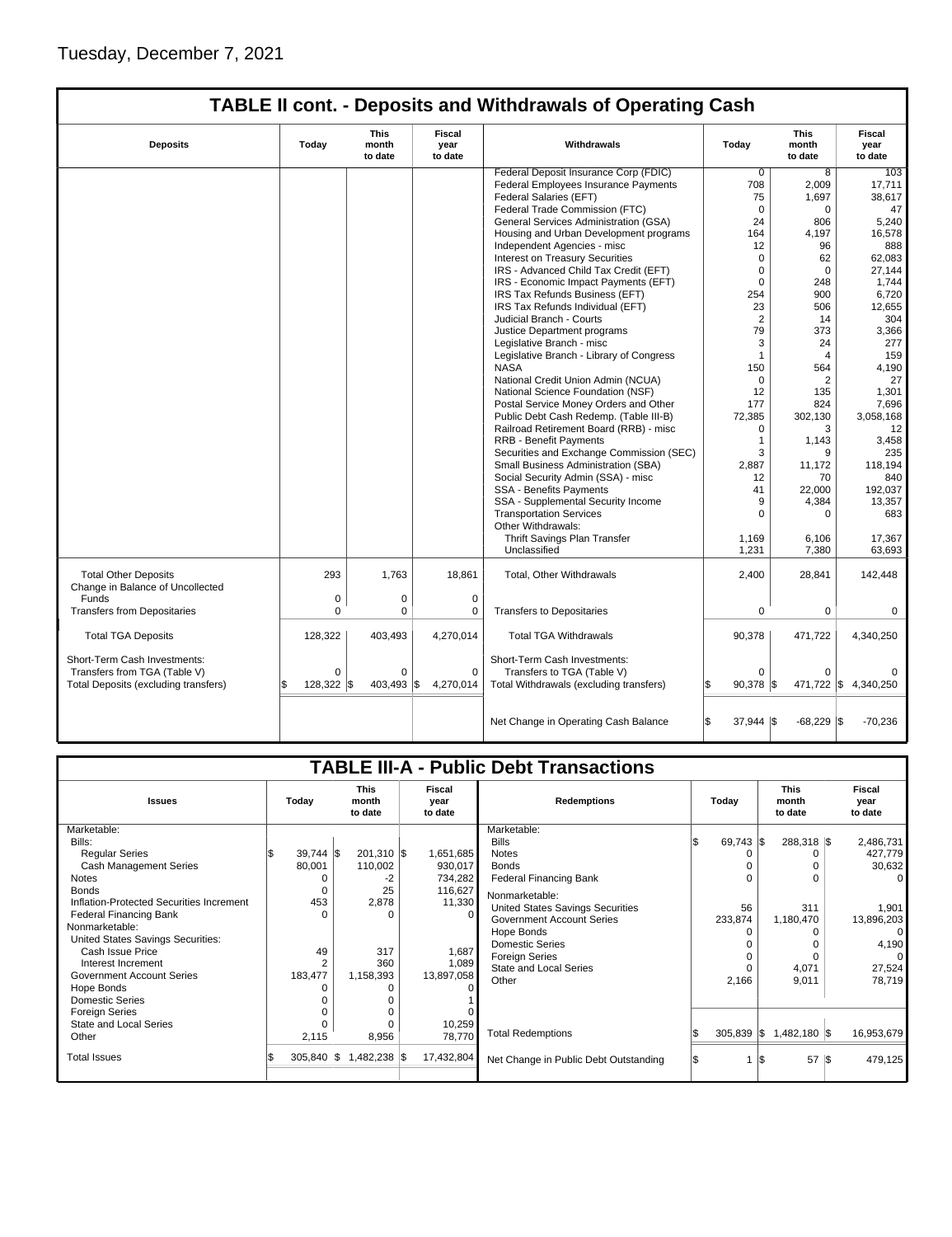| <b>TABLE II cont. - Deposits and Withdrawals of Operating Cash</b> |             |                                 |                           |                                          |                              |                          |                           |  |  |  |
|--------------------------------------------------------------------|-------------|---------------------------------|---------------------------|------------------------------------------|------------------------------|--------------------------|---------------------------|--|--|--|
| <b>Deposits</b>                                                    | Today       | <b>This</b><br>month<br>to date | Fiscal<br>year<br>to date | Withdrawals                              | Today                        | This<br>month<br>to date | Fiscal<br>vear<br>to date |  |  |  |
|                                                                    |             |                                 |                           | Federal Deposit Insurance Corp (FDIC)    | $\mathbf 0$                  | 8                        | 103                       |  |  |  |
|                                                                    |             |                                 |                           | Federal Employees Insurance Payments     | 708                          | 2,009                    | 17,711                    |  |  |  |
|                                                                    |             |                                 |                           | Federal Salaries (EFT)                   | 75                           | 1,697                    | 38.617                    |  |  |  |
|                                                                    |             |                                 |                           | Federal Trade Commission (FTC)           | $\mathbf 0$                  | 0                        | 47                        |  |  |  |
|                                                                    |             |                                 |                           | General Services Administration (GSA)    | 24                           | 806                      | 5,240                     |  |  |  |
|                                                                    |             |                                 |                           | Housing and Urban Development programs   | 164                          | 4,197                    | 16,578                    |  |  |  |
|                                                                    |             |                                 |                           | Independent Agencies - misc              | 12                           | 96                       | 888                       |  |  |  |
|                                                                    |             |                                 |                           | <b>Interest on Treasury Securities</b>   | $\mathbf 0$                  | 62                       | 62,083                    |  |  |  |
|                                                                    |             |                                 |                           | IRS - Advanced Child Tax Credit (EFT)    | $\mathbf 0$                  | $\Omega$                 | 27,144                    |  |  |  |
|                                                                    |             |                                 |                           | IRS - Economic Impact Payments (EFT)     | $\mathbf 0$                  | 248                      | 1,744                     |  |  |  |
|                                                                    |             |                                 |                           | IRS Tax Refunds Business (EFT)           | 254                          | 900                      | 6,720                     |  |  |  |
|                                                                    |             |                                 |                           | IRS Tax Refunds Individual (EFT)         | 23                           | 506                      | 12,655                    |  |  |  |
|                                                                    |             |                                 |                           | Judicial Branch - Courts                 | $\overline{2}$               | 14                       | 304                       |  |  |  |
|                                                                    |             |                                 |                           | Justice Department programs              | 79                           | 373                      | 3,366                     |  |  |  |
|                                                                    |             |                                 |                           | Legislative Branch - misc                | 3                            | 24                       | 277                       |  |  |  |
|                                                                    |             |                                 |                           | Legislative Branch - Library of Congress | $\mathbf{1}$                 | $\overline{4}$           | 159                       |  |  |  |
|                                                                    |             |                                 |                           | <b>NASA</b>                              | 150                          | 564                      | 4,190                     |  |  |  |
|                                                                    |             |                                 |                           | National Credit Union Admin (NCUA)       | $\Omega$                     | $\overline{2}$           | 27                        |  |  |  |
|                                                                    |             |                                 |                           | National Science Foundation (NSF)        | 12                           | 135                      | 1,301                     |  |  |  |
|                                                                    |             |                                 |                           | Postal Service Money Orders and Other    | 177                          | 824                      | 7,696                     |  |  |  |
|                                                                    |             |                                 |                           | Public Debt Cash Redemp. (Table III-B)   | 72,385                       | 302,130                  | 3,058,168                 |  |  |  |
|                                                                    |             |                                 |                           | Railroad Retirement Board (RRB) - misc   | 0                            | 3                        | 12                        |  |  |  |
|                                                                    |             |                                 |                           | <b>RRB - Benefit Payments</b>            | $\overline{1}$               | 1,143                    | 3,458                     |  |  |  |
|                                                                    |             |                                 |                           | Securities and Exchange Commission (SEC) | 3                            | 9                        | 235                       |  |  |  |
|                                                                    |             |                                 |                           | Small Business Administration (SBA)      | 2,887                        | 11,172                   | 118,194                   |  |  |  |
|                                                                    |             |                                 |                           | Social Security Admin (SSA) - misc       | 12                           | 70                       | 840                       |  |  |  |
|                                                                    |             |                                 |                           | <b>SSA - Benefits Payments</b>           | 41                           | 22,000                   | 192,037                   |  |  |  |
|                                                                    |             |                                 |                           | SSA - Supplemental Security Income       | 9                            | 4,384                    | 13,357                    |  |  |  |
|                                                                    |             |                                 |                           | <b>Transportation Services</b>           | $\Omega$                     | $\Omega$                 | 683                       |  |  |  |
|                                                                    |             |                                 |                           | Other Withdrawals:                       |                              |                          |                           |  |  |  |
|                                                                    |             |                                 |                           | Thrift Savings Plan Transfer             | 1,169                        | 6,106                    | 17,367                    |  |  |  |
|                                                                    |             |                                 |                           | Unclassified                             | 1,231                        | 7,380                    | 63,693                    |  |  |  |
| <b>Total Other Deposits</b><br>Change in Balance of Uncollected    | 293         | 1,763                           | 18,861                    | Total, Other Withdrawals                 | 2,400                        | 28,841                   | 142,448                   |  |  |  |
| Funds                                                              | $\mathbf 0$ | $\mathbf 0$                     | $\mathbf 0$               |                                          |                              |                          |                           |  |  |  |
| <b>Transfers from Depositaries</b>                                 | 0           | 0                               | 0                         | <b>Transfers to Depositaries</b>         | $\mathbf 0$                  | 0                        | 0                         |  |  |  |
| <b>Total TGA Deposits</b>                                          | 128,322     | 403,493                         | 4,270,014                 | <b>Total TGA Withdrawals</b>             | 90,378                       | 471,722                  | 4,340,250                 |  |  |  |
|                                                                    |             |                                 |                           |                                          |                              |                          |                           |  |  |  |
| Short-Term Cash Investments:                                       |             |                                 |                           | Short-Term Cash Investments:             |                              |                          |                           |  |  |  |
| Transfers from TGA (Table V)                                       | $\Omega$    | $\Omega$                        | $\mathbf 0$               | Transfers to TGA (Table V)               | $\Omega$                     | $\Omega$                 |                           |  |  |  |
| Total Deposits (excluding transfers)                               | 128,322 \$  | 403,493                         | l\$<br>4,270,014          | Total Withdrawals (excluding transfers)  | $90,378$ \$                  | 471,722 \$               | 4,340,250                 |  |  |  |
|                                                                    |             |                                 |                           |                                          |                              |                          |                           |  |  |  |
|                                                                    |             |                                 |                           | Net Change in Operating Cash Balance     | ß.<br>$37,944$ $\frac{1}{3}$ | $-68,229$ \$             | $-70,236$                 |  |  |  |

| <b>TABLE III-A - Public Debt Transactions</b> |                |                                 |                           |                                       |                        |                                 |                                  |  |  |  |
|-----------------------------------------------|----------------|---------------------------------|---------------------------|---------------------------------------|------------------------|---------------------------------|----------------------------------|--|--|--|
| <b>Issues</b>                                 | Today          | <b>This</b><br>month<br>to date | Fiscal<br>year<br>to date | <b>Redemptions</b>                    | Today                  | <b>This</b><br>month<br>to date | <b>Fiscal</b><br>year<br>to date |  |  |  |
| Marketable:                                   |                |                                 |                           | Marketable:                           |                        |                                 |                                  |  |  |  |
| Bills:                                        |                |                                 |                           | <b>Bills</b>                          | $69,743$ $\frac{1}{3}$ | 288,318 \$                      | 2,486,731                        |  |  |  |
| <b>Regular Series</b>                         | $39,744$ \\$   | $201,310$ \$                    | 1,651,685                 | <b>Notes</b>                          |                        |                                 | 427,779                          |  |  |  |
| <b>Cash Management Series</b>                 | 80,001         | 110,002                         | 930,017                   | <b>Bonds</b>                          |                        |                                 | 30,632                           |  |  |  |
| <b>Notes</b>                                  |                | -2                              | 734,282                   | <b>Federal Financing Bank</b>         | 0                      |                                 | $\Omega$                         |  |  |  |
| <b>Bonds</b>                                  | 0              | 25                              | 116,627                   | Nonmarketable:                        |                        |                                 |                                  |  |  |  |
| Inflation-Protected Securities Increment      | 453            | 2,878                           | 11,330                    | United States Savings Securities      | 56                     | 311                             | 1,901                            |  |  |  |
| <b>Federal Financing Bank</b>                 | $\Omega$       | U                               | $\Omega$                  | <b>Government Account Series</b>      | 233,874                | 1,180,470                       | 13,896,203                       |  |  |  |
| Nonmarketable:                                |                |                                 |                           | Hope Bonds                            | 0                      |                                 | $\Omega$                         |  |  |  |
| United States Savings Securities:             |                |                                 |                           | <b>Domestic Series</b>                |                        |                                 | 4,190                            |  |  |  |
| Cash Issue Price                              | 49             | 317                             | 1,687                     | <b>Foreign Series</b>                 |                        |                                 | $\Omega$                         |  |  |  |
| Interest Increment                            | $\overline{2}$ | 360                             | 1,089                     | <b>State and Local Series</b>         | $\Omega$               | 4,071                           | 27,524                           |  |  |  |
| <b>Government Account Series</b>              | 183,477        | 1,158,393                       | 13,897,058                | Other                                 | 2,166                  | 9,011                           | 78,719                           |  |  |  |
| Hope Bonds                                    |                |                                 |                           |                                       |                        |                                 |                                  |  |  |  |
| <b>Domestic Series</b>                        |                |                                 |                           |                                       |                        |                                 |                                  |  |  |  |
| <b>Foreign Series</b>                         |                |                                 |                           |                                       |                        |                                 |                                  |  |  |  |
| State and Local Series                        |                |                                 | 10,259                    |                                       |                        |                                 |                                  |  |  |  |
| Other                                         | 2,115          | 8,956                           | 78,770                    | <b>Total Redemptions</b>              | $305,839$ \$           | 1,482,180 \$                    | 16,953,679                       |  |  |  |
| <b>Total Issues</b>                           | 305,840 \$     | 1,482,238 \$                    | 17,432,804                | Net Change in Public Debt Outstanding |                        | 57 S<br>l\$                     | 479,125                          |  |  |  |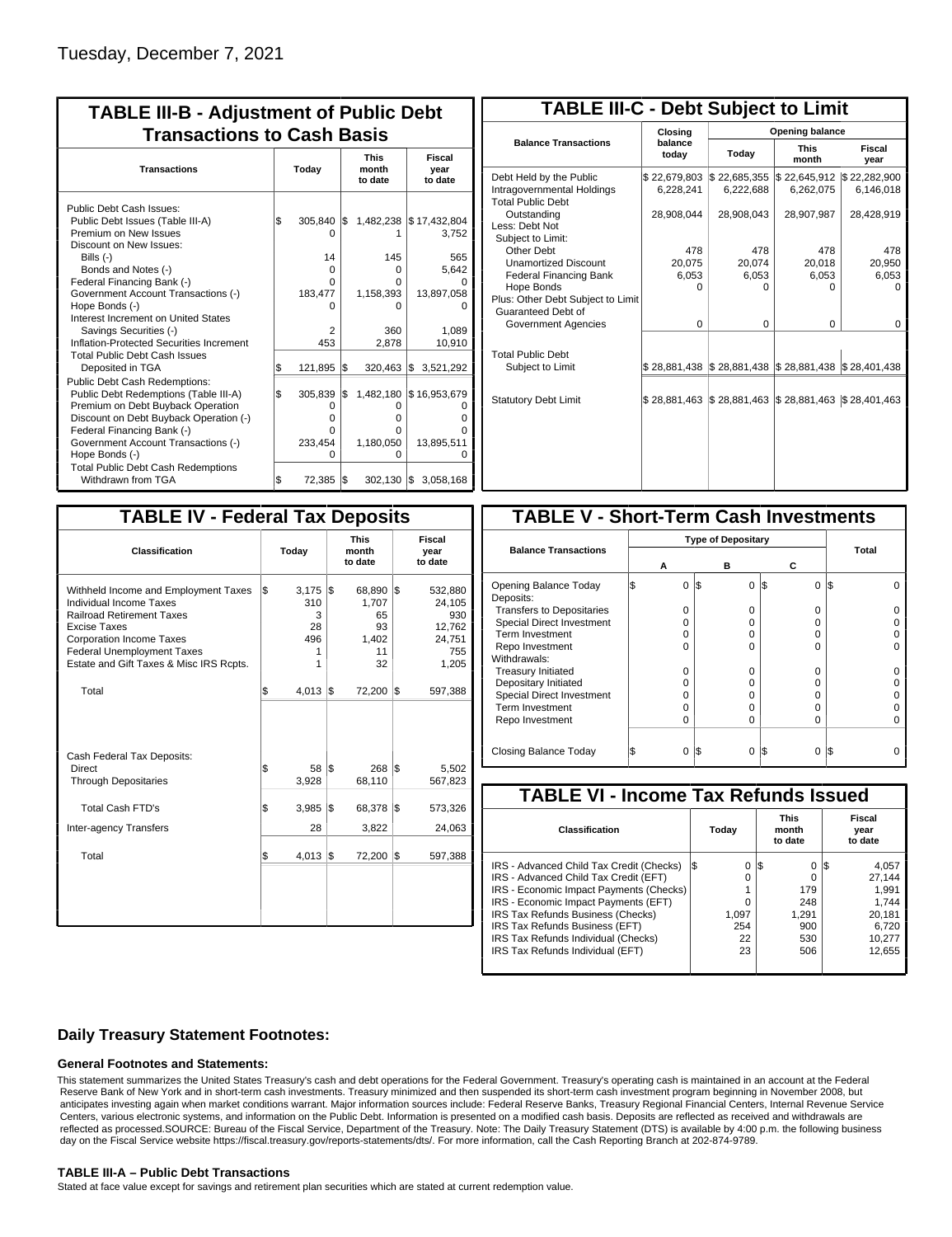| <b>TABLE III-B - Adjustment of Public Debt</b><br><b>Transactions to Cash Basis</b>                                                                                                                                                                                                                                                                          |          |                                                                 |           |                                                       |                                                                                  |  |  |                                 |                           |
|--------------------------------------------------------------------------------------------------------------------------------------------------------------------------------------------------------------------------------------------------------------------------------------------------------------------------------------------------------------|----------|-----------------------------------------------------------------|-----------|-------------------------------------------------------|----------------------------------------------------------------------------------|--|--|---------------------------------|---------------------------|
| <b>Transactions</b>                                                                                                                                                                                                                                                                                                                                          | Today    |                                                                 |           |                                                       |                                                                                  |  |  | <b>This</b><br>month<br>to date | Fiscal<br>year<br>to date |
| Public Debt Cash Issues:<br>Public Debt Issues (Table III-A)<br>Premium on New Issues<br>Discount on New Issues:<br>Bills $(-)$<br>Bonds and Notes (-)<br>Federal Financing Bank (-)<br>Government Account Transactions (-)<br>Hope Bonds (-)<br>Interest Increment on United States<br>Savings Securities (-)<br>Inflation-Protected Securities Increment   | \$       | 305,840<br>O<br>14<br>$\Omega$<br>O<br>183,477<br>O<br>2<br>453 | 1\$       | 145<br>0<br>O<br>1,158,393<br>O<br>360<br>2,878       | 1,482,238 \$17,432,804<br>3.752<br>565<br>5,642<br>13,897,058<br>1,089<br>10,910 |  |  |                                 |                           |
| <b>Total Public Debt Cash Issues</b><br>Deposited in TGA<br><b>Public Debt Cash Redemptions:</b><br>Public Debt Redemptions (Table III-A)<br>Premium on Debt Buyback Operation<br>Discount on Debt Buyback Operation (-)<br>Federal Financing Bank (-)<br>Government Account Transactions (-)<br>Hope Bonds (-)<br><b>Total Public Debt Cash Redemptions</b> | \$<br>\$ | 121,895<br>305,839<br>0<br>O<br>0<br>233,454<br>O               | l\$<br>\$ | 320,463<br>1,482,180<br>0<br>0<br>0<br>1,180,050<br>0 | 1\$<br>3,521,292<br>\$16,953,679<br>13,895,511                                   |  |  |                                 |                           |
| Withdrawn from TGA                                                                                                                                                                                                                                                                                                                                           | \$       | 72,385                                                          | I\$       | $302,130$ \\$                                         | 3,058,168                                                                        |  |  |                                 |                           |

| <b>TABLE III-C - Debt Subject to Limit</b>                                        |                           |                                                   |                           |                           |  |  |  |  |  |  |
|-----------------------------------------------------------------------------------|---------------------------|---------------------------------------------------|---------------------------|---------------------------|--|--|--|--|--|--|
|                                                                                   | Closing                   | Opening balance                                   |                           |                           |  |  |  |  |  |  |
| <b>Balance Transactions</b>                                                       | balance<br>today          | Today                                             | <b>This</b><br>month      | Fiscal<br>year            |  |  |  |  |  |  |
| Debt Held by the Public<br>Intragovernmental Holdings<br><b>Total Public Debt</b> | \$22,679,803<br>6,228,241 | \$22,685,355<br>6,222,688                         | \$22,645,912<br>6,262,075 | \$22,282,900<br>6,146,018 |  |  |  |  |  |  |
| Outstanding<br>Less: Debt Not<br>Subject to Limit:                                | 28,908,044                | 28,908,043                                        | 28,907,987                | 28,428,919                |  |  |  |  |  |  |
| Other Debt                                                                        | 478                       | 478                                               | 478                       | 478                       |  |  |  |  |  |  |
| <b>Unamortized Discount</b>                                                       | 20.075                    | 20.074                                            | 20,018                    | 20,950                    |  |  |  |  |  |  |
| <b>Federal Financing Bank</b>                                                     | 6,053                     | 6,053                                             | 6,053                     | 6,053                     |  |  |  |  |  |  |
| Hope Bonds                                                                        | O                         | O                                                 | 0                         | $\Omega$                  |  |  |  |  |  |  |
| Plus: Other Debt Subject to Limit<br>Guaranteed Debt of                           |                           |                                                   |                           |                           |  |  |  |  |  |  |
| Government Agencies                                                               | $\Omega$                  | 0                                                 | 0                         | 0                         |  |  |  |  |  |  |
| <b>Total Public Debt</b><br>Subject to Limit                                      | \$28,881,438              | $\frac{1}{2}$ 28,881,438 $\frac{1}{2}$ 28,881,438 |                           | \$28,401,438              |  |  |  |  |  |  |
|                                                                                   |                           |                                                   |                           |                           |  |  |  |  |  |  |
| <b>Statutory Debt Limit</b>                                                       | \$28.881.463              | \$28,881,463                                      | \$28,881,463              | \$28,401,463              |  |  |  |  |  |  |
|                                                                                   |                           |                                                   |                           |                           |  |  |  |  |  |  |

| <b>TABLE IV - Federal Tax Deposits</b>                                                                                                                                                                                                        |     |                                          |     |                                                  |     |                                                              |  |  |
|-----------------------------------------------------------------------------------------------------------------------------------------------------------------------------------------------------------------------------------------------|-----|------------------------------------------|-----|--------------------------------------------------|-----|--------------------------------------------------------------|--|--|
| Classification                                                                                                                                                                                                                                |     | Today                                    |     | <b>This</b><br>month<br>to date                  |     | <b>Fiscal</b><br>year<br>to date                             |  |  |
| Withheld Income and Employment Taxes<br>Individual Income Taxes<br><b>Railroad Retirement Taxes</b><br><b>Excise Taxes</b><br><b>Corporation Income Taxes</b><br><b>Federal Unemployment Taxes</b><br>Estate and Gift Taxes & Misc IRS Rcpts. | l\$ | 3,175<br>310<br>3<br>28<br>496<br>1<br>1 | l\$ | 68,890<br>1.707<br>65<br>93<br>1,402<br>11<br>32 | l\$ | 532,880<br>24,105<br>930<br>12,762<br>24,751<br>755<br>1,205 |  |  |
| Total                                                                                                                                                                                                                                         | \$  | 4,013                                    | 1\$ | 72,200                                           | 1\$ | 597,388                                                      |  |  |
| Cash Federal Tax Deposits:<br>Direct<br><b>Through Depositaries</b>                                                                                                                                                                           | \$  | 58<br>3,928                              | l\$ | 268 \$<br>68,110                                 |     | 5,502<br>567,823                                             |  |  |
| <b>Total Cash FTD's</b>                                                                                                                                                                                                                       | \$  | 3,985                                    | 1\$ | 68,378                                           | l\$ | 573,326                                                      |  |  |
| <b>Inter-agency Transfers</b>                                                                                                                                                                                                                 |     | 28                                       |     | 3,822                                            |     | 24,063                                                       |  |  |
| Total                                                                                                                                                                                                                                         | \$  | 4,013                                    | 1\$ | 72,200                                           | 1\$ | 597,388                                                      |  |  |
|                                                                                                                                                                                                                                               |     |                                          |     |                                                  |     |                                                              |  |  |

| <b>TABLE V - Short-Term Cash Investments</b> |                           |          |   |               |       |  |  |  |
|----------------------------------------------|---------------------------|----------|---|---------------|-------|--|--|--|
|                                              | <b>Type of Depositary</b> |          |   |               |       |  |  |  |
| <b>Balance Transactions</b>                  | А                         |          | в | С             | Total |  |  |  |
|                                              |                           |          |   |               |       |  |  |  |
| Opening Balance Today<br>Deposits:           |                           | I\$<br>0 | 0 | I\$<br>0      | 1\$   |  |  |  |
| <b>Transfers to Depositaries</b>             |                           | O        | o | 0             |       |  |  |  |
| Special Direct Investment                    |                           | O        | Ω | 0             |       |  |  |  |
| Term Investment                              |                           | O        | Ω | 0             |       |  |  |  |
| Repo Investment                              |                           | ი        | n | 0             |       |  |  |  |
| Withdrawals:                                 |                           |          |   |               |       |  |  |  |
| <b>Treasury Initiated</b>                    |                           | O        | O | 0             |       |  |  |  |
| Depositary Initiated                         |                           | Ω        | Ω | 0             |       |  |  |  |
| Special Direct Investment                    |                           | Ω        | Ω | 0             |       |  |  |  |
| <b>Term Investment</b>                       |                           | Ω        |   | 0             |       |  |  |  |
| Repo Investment                              |                           | O        | Ω | 0             |       |  |  |  |
|                                              |                           |          |   |               |       |  |  |  |
| Closing Balance Today                        |                           | I\$<br>0 | 0 | S<br>$\Omega$ | I\$   |  |  |  |

| <b>TABLE VI - Income Tax Refunds Issued</b> |     |       |     |                                 |    |                           |  |  |
|---------------------------------------------|-----|-------|-----|---------------------------------|----|---------------------------|--|--|
| <b>Classification</b>                       |     | Today |     | <b>This</b><br>month<br>to date |    | Fiscal<br>year<br>to date |  |  |
| IRS - Advanced Child Tax Credit (Checks)    | I\$ | 0     | 1\$ | 0                               | 13 | 4,057                     |  |  |
| IRS - Advanced Child Tax Credit (EFT)       |     | 0     |     | 0                               |    | 27.144                    |  |  |
| IRS - Economic Impact Payments (Checks)     |     |       |     | 179                             |    | 1.991                     |  |  |
| IRS - Economic Impact Payments (EFT)        |     | 0     |     | 248                             |    | 1.744                     |  |  |
| IRS Tax Refunds Business (Checks)           |     | 1.097 |     | 1.291                           |    | 20.181                    |  |  |
| IRS Tax Refunds Business (EFT)              |     | 254   |     | 900                             |    | 6.720                     |  |  |
| IRS Tax Refunds Individual (Checks)         |     | 22    |     | 530                             |    | 10.277                    |  |  |
| IRS Tax Refunds Individual (EFT)            |     | 23    |     | 506                             |    | 12.655                    |  |  |
|                                             |     |       |     |                                 |    |                           |  |  |

### **Daily Treasury Statement Footnotes:**

#### **General Footnotes and Statements:**

This statement summarizes the United States Treasury's cash and debt operations for the Federal Government. Treasury's operating cash is maintained in an account at the Federal Reserve Bank of New York and in short-term cash investments. Treasury minimized and then suspended its short-term cash investment program beginning in November 2008, but anticipates investing again when market conditions warrant. Major information sources include: Federal Reserve Banks, Treasury Regional Financial Centers, Internal Revenue Service Centers, various electronic systems, and information on the Public Debt. Information is presented on a modified cash basis. Deposits are reflected as received and withdrawals are reflected as processed.SOURCE: Bureau of the Fiscal Service, Department of the Treasury. Note: The Daily Treasury Statement (DTS) is available by 4:00 p.m. the following business day on the Fiscal Service website https://fiscal.treasury.gov/reports-statements/dts/. For more information, call the Cash Reporting Branch at 202-874-9789.

#### **TABLE III-A – Public Debt Transactions**

Stated at face value except for savings and retirement plan securities which are stated at current redemption value.